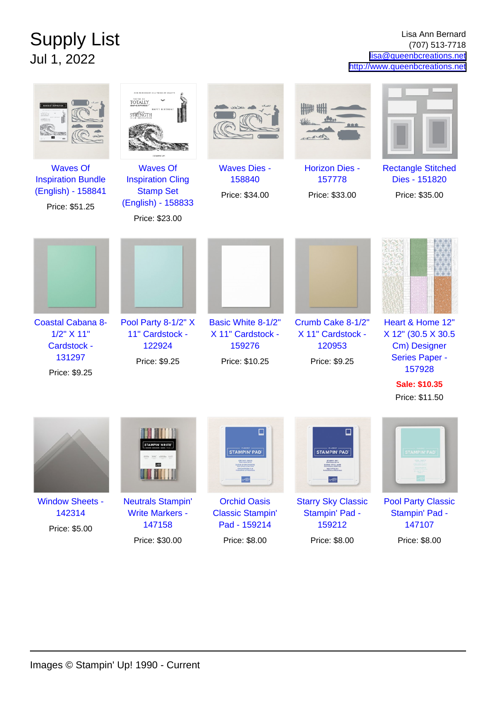## Supply List Jul 1, 2022

Lisa Ann Bernard (707) 513-7718 [lisa@queenbcreations.net](mailto:lisa@queenbcreations.net) <http://www.queenbcreations.net>

|                                                                                      | OUR FRIENDSHIP IS A THING OF BEAU<br><b>TOTALLY</b><br>STRENGTH                                         |                                                                                 |                                                                                                     |                                                                                                     |
|--------------------------------------------------------------------------------------|---------------------------------------------------------------------------------------------------------|---------------------------------------------------------------------------------|-----------------------------------------------------------------------------------------------------|-----------------------------------------------------------------------------------------------------|
| <b>Waves Of</b><br><b>Inspiration Bundle</b><br>(English) - 158841<br>Price: \$51.25 | <b>Waves Of</b><br><b>Inspiration Cling</b><br><b>Stamp Set</b><br>(English) - 158833<br>Price: \$23.00 | <b>Waves Dies -</b><br>158840<br>Price: \$34.00                                 | <b>Horizon Dies -</b><br>157778<br>Price: \$33.00                                                   | <b>Rectangle Stitched</b><br>Dies - 151820<br>Price: \$35.00                                        |
| <b>Coastal Cabana 8-</b><br>1/2" X 11"<br>Cardstock -<br>131297<br>Price: \$9.25     | Pool Party 8-1/2" X<br>11" Cardstock -<br>122924<br>Price: \$9.25                                       | Basic White 8-1/2"<br>X 11" Cardstock -<br>159276<br>Price: \$10.25             | Crumb Cake 8-1/2"<br>X 11" Cardstock -<br>120953<br>Price: \$9.25                                   | Heart & Home 12"<br>X 12" (30.5 X 30.5<br>Cm) Designer<br>Series Paper -<br>157928<br>Sale: \$10.35 |
|                                                                                      | <b>AMPIN' WRIT</b>                                                                                      | <b>STAMPIN' PAD</b><br><b>ORCHID OAS!</b><br><b>ASIS D'ORCHIDÉE</b>             | ⊔<br><b>STAMPIN' PAD</b><br>STARRY SKY<br><b>SCENE STELLAIRE</b><br><b>NACHTBLAU</b><br><b>STEP</b> | Price: \$11.50<br><b>STAMPIN' PAD</b>                                                               |
| <b>Window Sheets -</b><br>142314<br>Price: \$5.00                                    | <b>Neutrals Stampin'</b><br><b>Write Markers -</b><br>147158<br>Price: \$30.00                          | <b>Orchid Oasis</b><br><b>Classic Stampin'</b><br>Pad - 159214<br>Price: \$8.00 | <b>Starry Sky Classic</b><br>Stampin' Pad -<br>159212<br>Price: \$8.00                              | <b>Pool Party Classic</b><br>Stampin' Pad -<br>147107<br>Price: \$8.00                              |